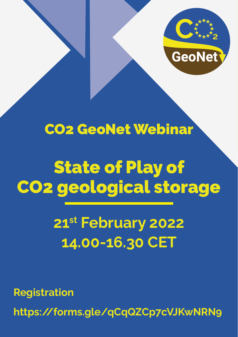

#### CO2 GeoNet Webinar

# State of Play of CO2 geological storage

## **21st February 2022 14.00-16.30 CET**

**Registration**

**https://forms.gle/qCqQZCp7cVJKwNRN9**